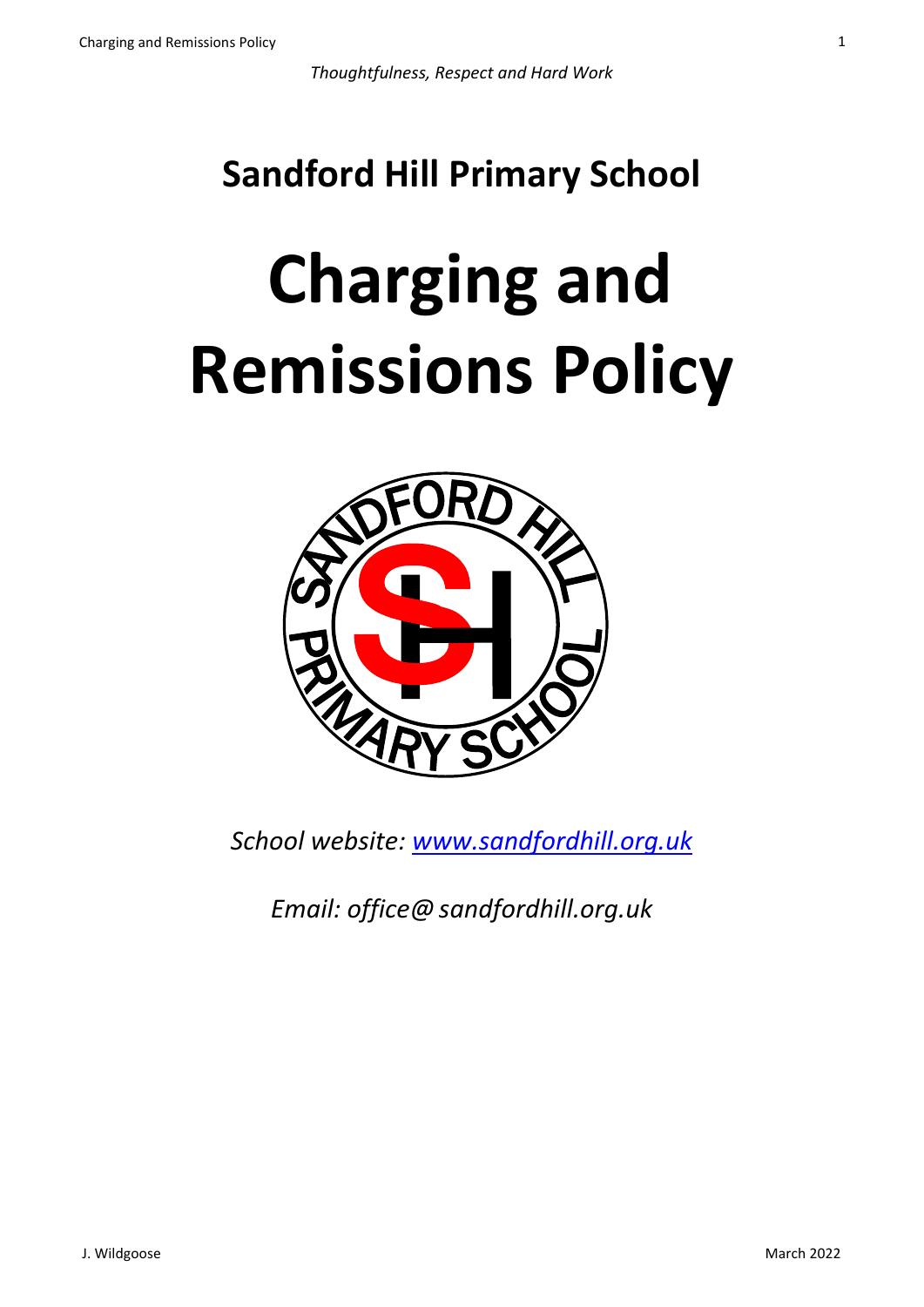# **Sandford Hill Primary School**

# **Charging and Remissions Policy**



*School website: [www.sandfordhill.org.uk](http://www.sandfordhill.org.uk/)*

*Email: office@sandfordhill.org.uk*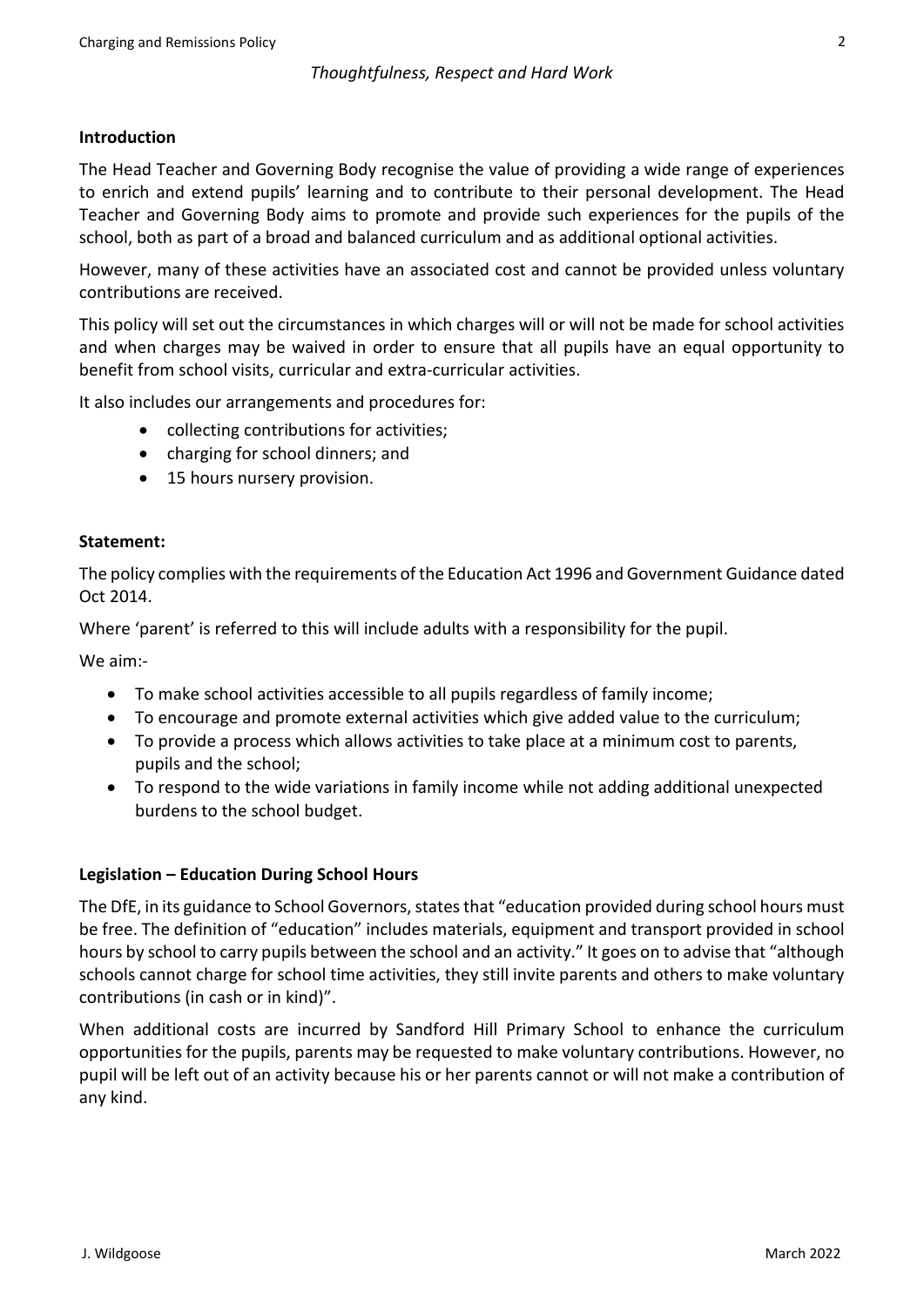#### **Introduction**

The Head Teacher and Governing Body recognise the value of providing a wide range of experiences to enrich and extend pupils' learning and to contribute to their personal development. The Head Teacher and Governing Body aims to promote and provide such experiences for the pupils of the school, both as part of a broad and balanced curriculum and as additional optional activities.

However, many of these activities have an associated cost and cannot be provided unless voluntary contributions are received.

This policy will set out the circumstances in which charges will or will not be made for school activities and when charges may be waived in order to ensure that all pupils have an equal opportunity to benefit from school visits, curricular and extra-curricular activities.

It also includes our arrangements and procedures for:

- collecting contributions for activities;
- charging for school dinners; and
- 15 hours nursery provision.

#### **Statement:**

The policy complies with the requirements of the Education Act 1996 and Government Guidance dated Oct 2014.

Where 'parent' is referred to this will include adults with a responsibility for the pupil.

We aim:-

- To make school activities accessible to all pupils regardless of family income;
- To encourage and promote external activities which give added value to the curriculum;
- To provide a process which allows activities to take place at a minimum cost to parents, pupils and the school;
- To respond to the wide variations in family income while not adding additional unexpected burdens to the school budget.

#### **Legislation – Education During School Hours**

The DfE, in its guidance to School Governors, states that "education provided during school hours must be free. The definition of "education" includes materials, equipment and transport provided in school hours by school to carry pupils between the school and an activity." It goes on to advise that "although schools cannot charge for school time activities, they still invite parents and others to make voluntary contributions (in cash or in kind)".

When additional costs are incurred by Sandford Hill Primary School to enhance the curriculum opportunities for the pupils, parents may be requested to make voluntary contributions. However, no pupil will be left out of an activity because his or her parents cannot or will not make a contribution of any kind.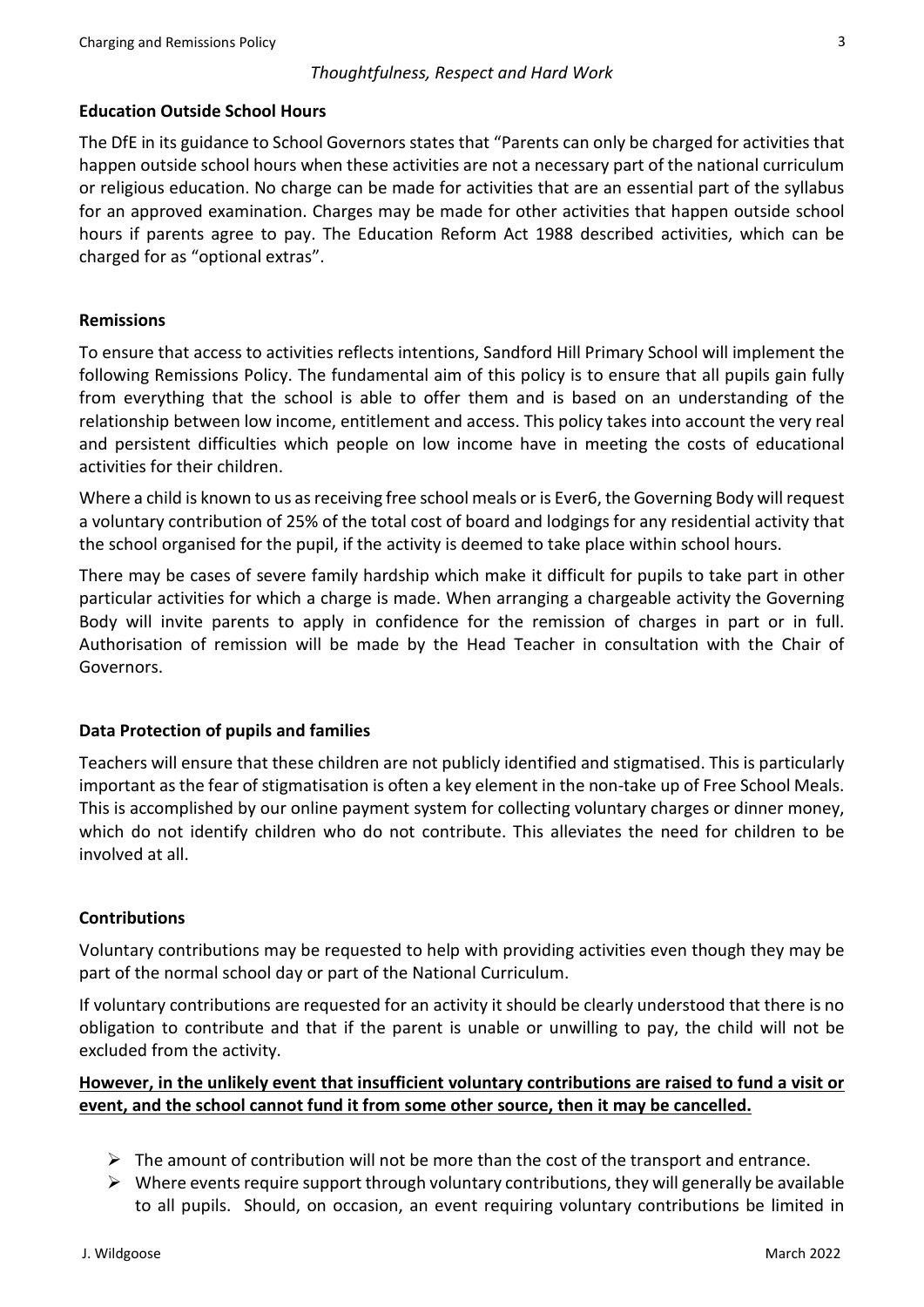#### **Education Outside School Hours**

The DfE in its guidance to School Governors states that "Parents can only be charged for activities that happen outside school hours when these activities are not a necessary part of the national curriculum or religious education. No charge can be made for activities that are an essential part of the syllabus for an approved examination. Charges may be made for other activities that happen outside school hours if parents agree to pay. The Education Reform Act 1988 described activities, which can be charged for as "optional extras".

#### **Remissions**

To ensure that access to activities reflects intentions, Sandford Hill Primary School will implement the following Remissions Policy. The fundamental aim of this policy is to ensure that all pupils gain fully from everything that the school is able to offer them and is based on an understanding of the relationship between low income, entitlement and access. This policy takes into account the very real and persistent difficulties which people on low income have in meeting the costs of educational activities for their children.

Where a child is known to us as receiving free school meals or is Ever6, the Governing Body will request a voluntary contribution of 25% of the total cost of board and lodgings for any residential activity that the school organised for the pupil, if the activity is deemed to take place within school hours.

There may be cases of severe family hardship which make it difficult for pupils to take part in other particular activities for which a charge is made. When arranging a chargeable activity the Governing Body will invite parents to apply in confidence for the remission of charges in part or in full. Authorisation of remission will be made by the Head Teacher in consultation with the Chair of Governors.

#### **Data Protection of pupils and families**

Teachers will ensure that these children are not publicly identified and stigmatised. This is particularly important as the fear of stigmatisation is often a key element in the non-take up of Free School Meals. This is accomplished by our online payment system for collecting voluntary charges or dinner money, which do not identify children who do not contribute. This alleviates the need for children to be involved at all.

#### **Contributions**

Voluntary contributions may be requested to help with providing activities even though they may be part of the normal school day or part of the National Curriculum.

If voluntary contributions are requested for an activity it should be clearly understood that there is no obligation to contribute and that if the parent is unable or unwilling to pay, the child will not be excluded from the activity.

## **However, in the unlikely event that insufficient voluntary contributions are raised to fund a visit or event, and the school cannot fund it from some other source, then it may be cancelled.**

- $\triangleright$  The amount of contribution will not be more than the cost of the transport and entrance.
- $\triangleright$  Where events require support through voluntary contributions, they will generally be available to all pupils. Should, on occasion, an event requiring voluntary contributions be limited in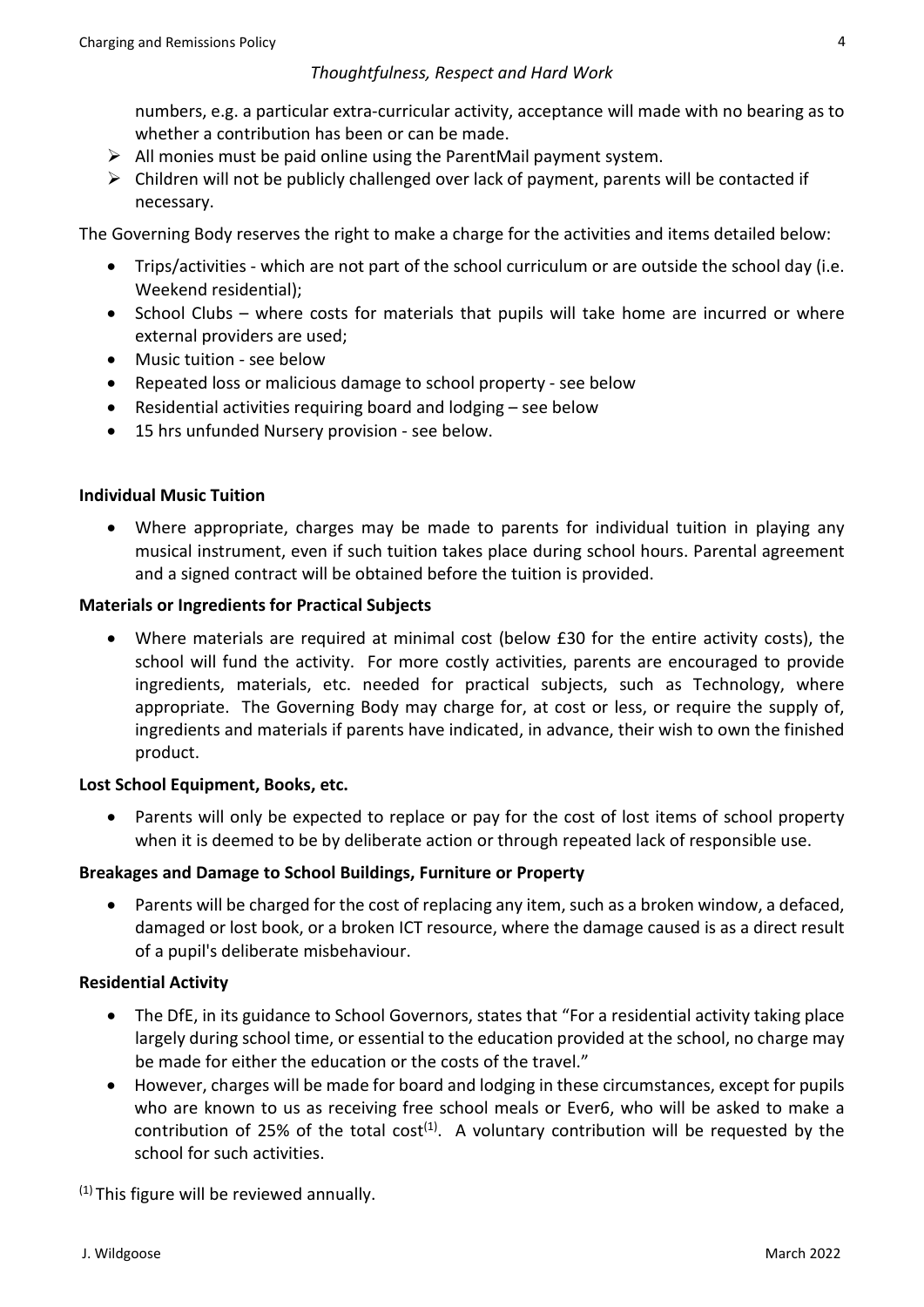numbers, e.g. a particular extra-curricular activity, acceptance will made with no bearing as to whether a contribution has been or can be made.

- $\triangleright$  All monies must be paid online using the ParentMail payment system.
- $\triangleright$  Children will not be publicly challenged over lack of payment, parents will be contacted if necessary.

The Governing Body reserves the right to make a charge for the activities and items detailed below:

- Trips/activities which are not part of the school curriculum or are outside the school day (i.e. Weekend residential);
- School Clubs where costs for materials that pupils will take home are incurred or where external providers are used;
- Music tuition see below
- Repeated loss or malicious damage to school property see below
- Residential activities requiring board and lodging see below
- 15 hrs unfunded Nursery provision see below.

#### **Individual Music Tuition**

• Where appropriate, charges may be made to parents for individual tuition in playing any musical instrument, even if such tuition takes place during school hours. Parental agreement and a signed contract will be obtained before the tuition is provided.

#### **Materials or Ingredients for Practical Subjects**

• Where materials are required at minimal cost (below £30 for the entire activity costs), the school will fund the activity. For more costly activities, parents are encouraged to provide ingredients, materials, etc. needed for practical subjects, such as Technology, where appropriate. The Governing Body may charge for, at cost or less, or require the supply of, ingredients and materials if parents have indicated, in advance, their wish to own the finished product.

#### **Lost School Equipment, Books, etc.**

• Parents will only be expected to replace or pay for the cost of lost items of school property when it is deemed to be by deliberate action or through repeated lack of responsible use.

#### **Breakages and Damage to School Buildings, Furniture or Property**

• Parents will be charged for the cost of replacing any item, such as a broken window, a defaced, damaged or lost book, or a broken ICT resource, where the damage caused is as a direct result of a pupil's deliberate misbehaviour.

#### **Residential Activity**

- The DfE, in its guidance to School Governors, states that "For a residential activity taking place largely during school time, or essential to the education provided at the school, no charge may be made for either the education or the costs of the travel."
- However, charges will be made for board and lodging in these circumstances, except for pupils who are known to us as receiving free school meals or Ever6, who will be asked to make a contribution of 25% of the total  $cost^{(1)}$ . A voluntary contribution will be requested by the school for such activities.

 $(1)$  This figure will be reviewed annually.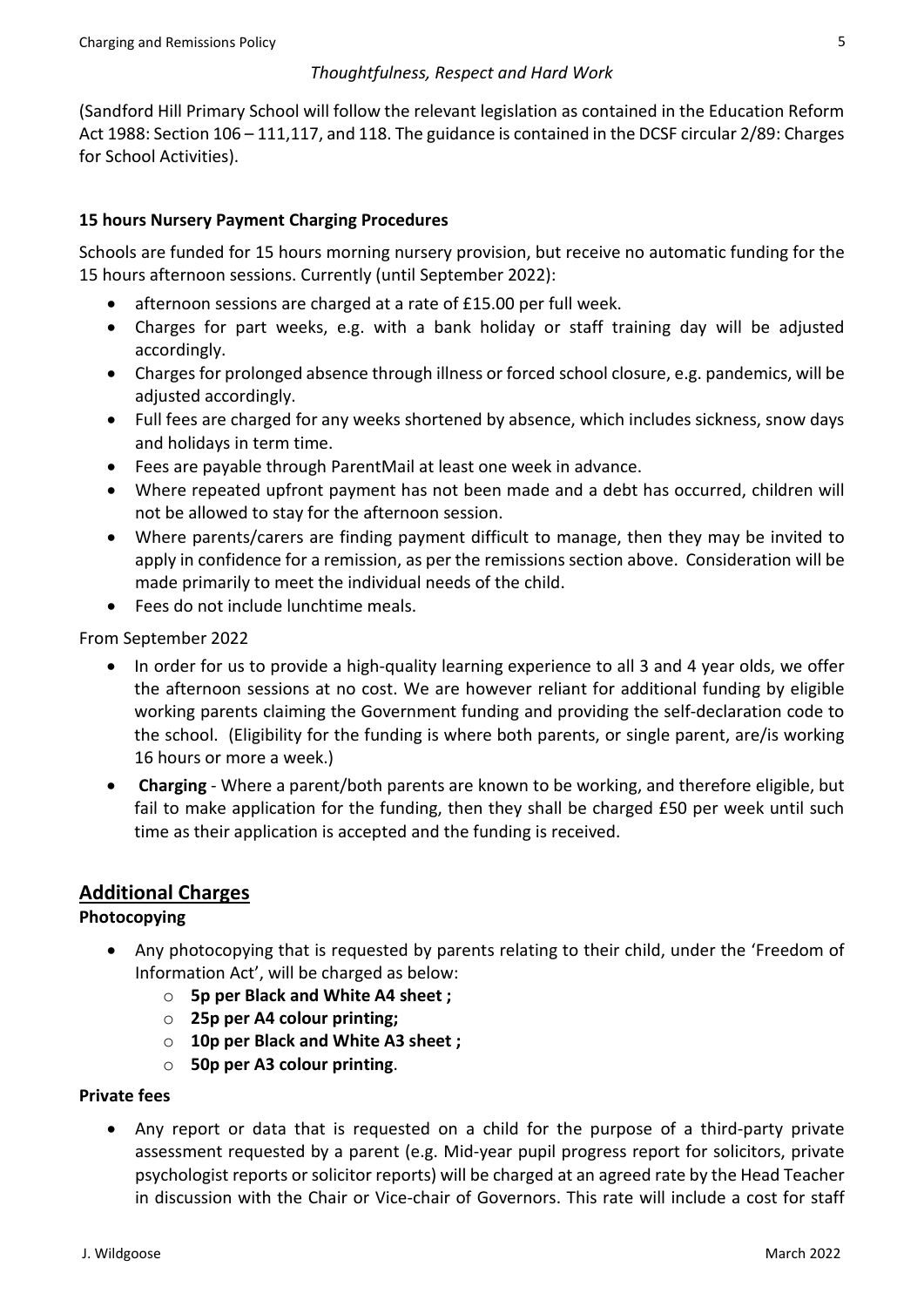(Sandford Hill Primary School will follow the relevant legislation as contained in the Education Reform Act 1988: Section 106 – 111,117, and 118. The guidance is contained in the DCSF circular 2/89: Charges for School Activities).

#### **15 hours Nursery Payment Charging Procedures**

Schools are funded for 15 hours morning nursery provision, but receive no automatic funding for the 15 hours afternoon sessions. Currently (until September 2022):

- afternoon sessions are charged at a rate of £15.00 per full week.
- Charges for part weeks, e.g. with a bank holiday or staff training day will be adjusted accordingly.
- Charges for prolonged absence through illness or forced school closure, e.g. pandemics, will be adjusted accordingly.
- Full fees are charged for any weeks shortened by absence, which includes sickness, snow days and holidays in term time.
- Fees are payable through ParentMail at least one week in advance.
- Where repeated upfront payment has not been made and a debt has occurred, children will not be allowed to stay for the afternoon session.
- Where parents/carers are finding payment difficult to manage, then they may be invited to apply in confidence for a remission, as per the remissions section above. Consideration will be made primarily to meet the individual needs of the child.
- Fees do not include lunchtime meals.

From September 2022

- In order for us to provide a high-quality learning experience to all 3 and 4 year olds, we offer the afternoon sessions at no cost. We are however reliant for additional funding by eligible working parents claiming the Government funding and providing the self-declaration code to the school. (Eligibility for the funding is where both parents, or single parent, are/is working 16 hours or more a week.)
- **Charging** Where a parent/both parents are known to be working, and therefore eligible, but fail to make application for the funding, then they shall be charged £50 per week until such time as their application is accepted and the funding is received.

# **Additional Charges**

### **Photocopying**

- Any photocopying that is requested by parents relating to their child, under the 'Freedom of Information Act', will be charged as below:
	- o **5p per Black and White A4 sheet ;**
	- o **25p per A4 colour printing;**
	- o **10p per Black and White A3 sheet ;**
	- o **50p per A3 colour printing**.

#### **Private fees**

• Any report or data that is requested on a child for the purpose of a third-party private assessment requested by a parent (e.g. Mid-year pupil progress report for solicitors, private psychologist reports or solicitor reports) will be charged at an agreed rate by the Head Teacher in discussion with the Chair or Vice-chair of Governors. This rate will include a cost for staff